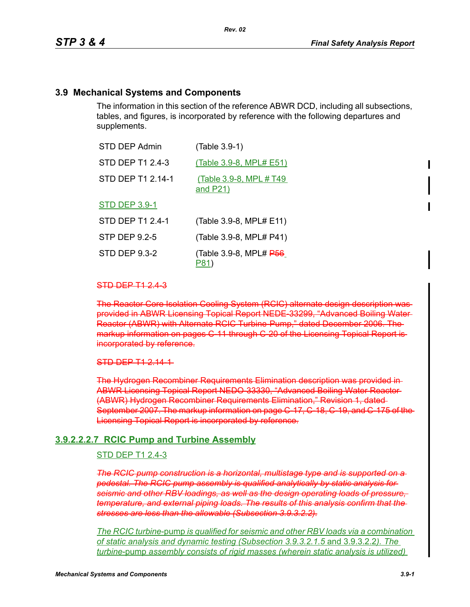### **3.9 Mechanical Systems and Components**

The information in this section of the reference ABWR DCD, including all subsections, tables, and figures, is incorporated by reference with the following departures and supplements.

| <b>STD DEP Admin</b>    | (Table 3.9-1)                                     |
|-------------------------|---------------------------------------------------|
| <b>STD DEP T1 2.4-3</b> | (Table 3.9-8, MPL# E51)                           |
| STD DEP T1 2.14-1       | <u>(Table 3.9-8, MPL # T49</u><br><u>and P21)</u> |
| <b>STD DEP 3.9-1</b>    |                                                   |
| <b>STD DEP T1 2.4-1</b> | (Table 3.9-8, MPL# E11)                           |
| <b>STP DEP 9.2-5</b>    | (Table 3.9-8, MPL# P41)                           |
| <b>STD DEP 9.3-2</b>    | (Table 3.9-8, MPL# P56                            |

P81)

#### STD DEP T1 2.4-3

The Reactor Core Isolation Cooling System (RCIC) alternate design description was provided in ABWR Licensing Topical Report NEDE-33299, "Advanced Boiling Water Reactor (ABWR) with Alternate RCIC Turbine-Pump," dated December 2006. The markup information on pages C-11 through C-20 of the Licensing Topical Report isincorporated by reference.

#### STD DEP T1 2.14-1

The Hydrogen Recombiner Requirements Elimination description was provided in ABWR Licensing Topical Report NEDO-33330, "Advanced Boiling Water Reactor (ABWR) Hydrogen Recombiner Requirements Elimination," Revision 1, dated September 2007. The markup information on page C-17, C-18, C-19, and C-175 of the Licensing Topical Report is incorporated by reference.

#### **3.9.2.2.2.7 RCIC Pump and Turbine Assembly**

#### STD DEP T1 2.4-3

*The RCIC pump construction is a horizontal, multistage type and is supported on a pedestal. The RCIC pump assembly is qualified analytically by static analysis for*  seismic and other RBV loadings, as well as the design operating loads of pressure *temperature, and external piping loads. The results of this analysis confirm that the stresses are less than the allowable (Subsection 3.9.3.2.2).*

*The RCIC turbine*-pump *is qualified for seismic and other RBV loads via a combination of static analysis and dynamic testing (Subsection 3.9.3.2.1.5* and 3.9.3.2.2*). The turbine*-pump *assembly consists of rigid masses (wherein static analysis is utilized)*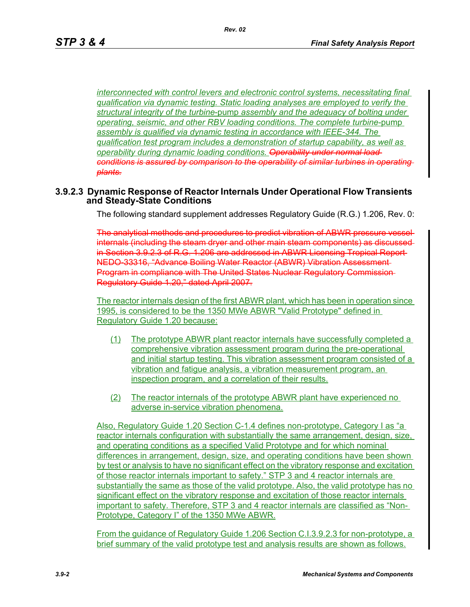*interconnected with control levers and electronic control systems, necessitating final qualification via dynamic testing. Static loading analyses are employed to verify the structural integrity of the turbine*-pump *assembly and the adequacy of bolting under operating, seismic, and other RBV loading conditions. The complete turbine*-pump *assembly is qualified via dynamic testing in accordance with IEEE-344. The qualification test program includes a demonstration of startup capability, as well as operability during dynamic loading conditions. Operability under normal load conditions is assured by comparison to the operability of similar turbines in operating plants.*

### **3.9.2.3 Dynamic Response of Reactor Internals Under Operational Flow Transients and Steady-State Conditions**

The following standard supplement addresses Regulatory Guide (R.G.) 1.206, Rev. 0:

The analytical methods and procedures to predict vibration of ABWR pressure vessel internals (including the steam dryer and other main steam components) as discussed in Section 3.9.2.3 of R.G. 1.206 are addressed in ABWR Licensing Tropical Report NEDO-33316, "Advance Boiling Water Reactor (ABWR) Vibration Assessment Program in compliance with The United States Nuclear Regulatory Commission Regulatory Guide 1.20," dated April 2007.

The reactor internals design of the first ABWR plant, which has been in operation since 1995, is considered to be the 1350 MWe ABWR "Valid Prototype" defined in Regulatory Guide 1.20 because:

- (1) The prototype ABWR plant reactor internals have successfully completed a comprehensive vibration assessment program during the pre-operational and initial startup testing. This vibration assessment program consisted of a vibration and fatigue analysis, a vibration measurement program, an inspection program, and a correlation of their results.
- (2) The reactor internals of the prototype ABWR plant have experienced no adverse in-service vibration phenomena.

Also, Regulatory Guide 1.20 Section C-1.4 defines non-prototype, Category I as "a reactor internals configuration with substantially the same arrangement, design, size, and operating conditions as a specified Valid Prototype and for which nominal differences in arrangement, design, size, and operating conditions have been shown by test or analysis to have no significant effect on the vibratory response and excitation of those reactor internals important to safety." STP 3 and 4 reactor internals are substantially the same as those of the valid prototype. Also, the valid prototype has no significant effect on the vibratory response and excitation of those reactor internals important to safety. Therefore, STP 3 and 4 reactor internals are classified as "Non-Prototype, Category I" of the 1350 MWe ABWR.

From the guidance of Regulatory Guide 1.206 Section C.I.3.9.2.3 for non-prototype, a brief summary of the valid prototype test and analysis results are shown as follows.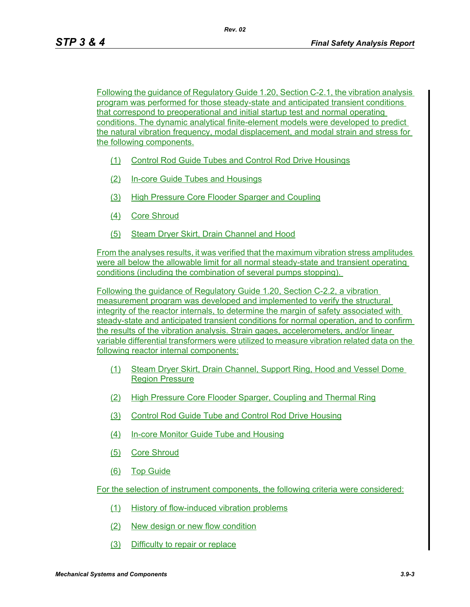Following the guidance of Regulatory Guide 1.20, Section C-2.1, the vibration analysis program was performed for those steady-state and anticipated transient conditions that correspond to preoperational and initial startup test and normal operating conditions. The dynamic analytical finite-element models were developed to predict the natural vibration frequency, modal displacement, and modal strain and stress for the following components.

- (1) Control Rod Guide Tubes and Control Rod Drive Housings
- (2) In-core Guide Tubes and Housings
- (3) High Pressure Core Flooder Sparger and Coupling
- (4) Core Shroud
- (5) Steam Dryer Skirt, Drain Channel and Hood

From the analyses results, it was verified that the maximum vibration stress amplitudes were all below the allowable limit for all normal steady-state and transient operating conditions (including the combination of several pumps stopping).

Following the guidance of Regulatory Guide 1.20, Section C-2.2, a vibration measurement program was developed and implemented to verify the structural integrity of the reactor internals, to determine the margin of safety associated with steady-state and anticipated transient conditions for normal operation, and to confirm the results of the vibration analysis. Strain gages, accelerometers, and/or linear variable differential transformers were utilized to measure vibration related data on the following reactor internal components:

- (1) Steam Dryer Skirt, Drain Channel, Support Ring, Hood and Vessel Dome Region Pressure
- (2) High Pressure Core Flooder Sparger, Coupling and Thermal Ring
- (3) Control Rod Guide Tube and Control Rod Drive Housing
- (4) In-core Monitor Guide Tube and Housing
- (5) Core Shroud
- (6) Top Guide

For the selection of instrument components, the following criteria were considered:

- (1) History of flow-induced vibration problems
- (2) New design or new flow condition
- (3) Difficulty to repair or replace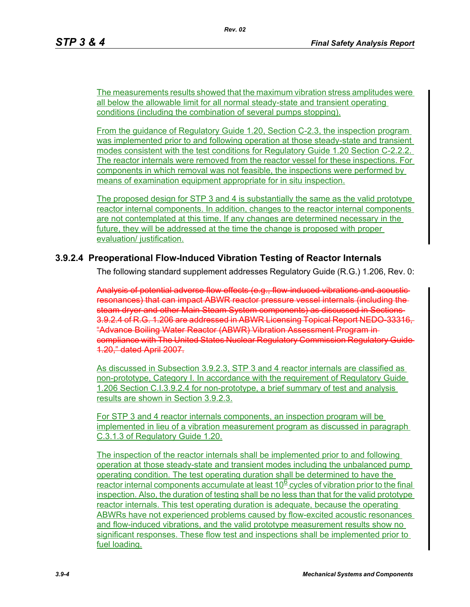The measurements results showed that the maximum vibration stress amplitudes were all below the allowable limit for all normal steady-state and transient operating conditions (including the combination of several pumps stopping).

From the guidance of Regulatory Guide 1.20, Section C-2.3, the inspection program was implemented prior to and following operation at those steady-state and transient modes consistent with the test conditions for Regulatory Guide 1.20 Section C-2.2.2. The reactor internals were removed from the reactor vessel for these inspections. For components in which removal was not feasible, the inspections were performed by means of examination equipment appropriate for in situ inspection.

The proposed design for STP 3 and 4 is substantially the same as the valid prototype reactor internal components. In addition, changes to the reactor internal components are not contemplated at this time. If any changes are determined necessary in the future, they will be addressed at the time the change is proposed with proper evaluation/ justification.

# **3.9.2.4 Preoperational Flow-Induced Vibration Testing of Reactor Internals**

The following standard supplement addresses Regulatory Guide (R.G.) 1.206, Rev. 0:

Analysis of potential adverse flow effects (e.g., flow-induced vibrations and acoustic resonances) that can impact ABWR reactor pressure vessel internals (including the steam dryer and other Main Steam System components) as discussed in Sections 3.9.2.4 of R.G. 1.206 are addressed in ABWR Licensing Topical Report NEDO-33316, "Advance Boiling Water Reactor (ABWR) Vibration Assessment Program in compliance with The United States Nuclear Regulatory Commission Regulatory Guide 1.20," dated April 2007.

As discussed in Subsection 3.9.2.3, STP 3 and 4 reactor internals are classified as non-prototype, Category I. In accordance with the requirement of Regulatory Guide 1.206 Section C.I.3.9.2.4 for non-prototype, a brief summary of test and analysis results are shown in Section 3.9.2.3.

For STP 3 and 4 reactor internals components, an inspection program will be implemented in lieu of a vibration measurement program as discussed in paragraph C.3.1.3 of Regulatory Guide 1.20.

The inspection of the reactor internals shall be implemented prior to and following operation at those steady-state and transient modes including the unbalanced pump operating condition. The test operating duration shall be determined to have the reactor internal components accumulate at least  $10<sup>6</sup>$  cycles of vibration prior to the final inspection. Also, the duration of testing shall be no less than that for the valid prototype reactor internals. This test operating duration is adequate, because the operating ABWRs have not experienced problems caused by flow-excited acoustic resonances and flow-induced vibrations, and the valid prototype measurement results show no significant responses. These flow test and inspections shall be implemented prior to fuel loading.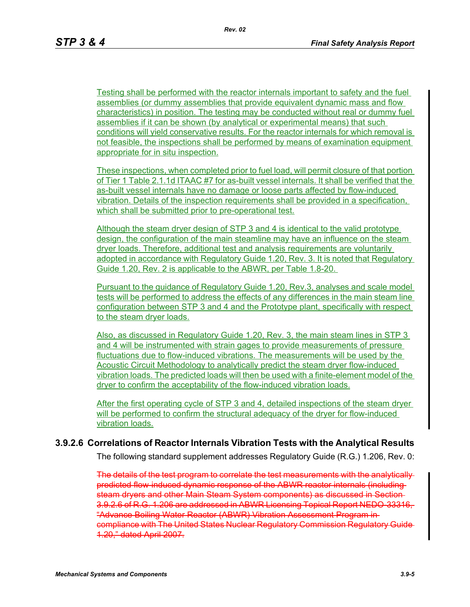Testing shall be performed with the reactor internals important to safety and the fuel assemblies (or dummy assemblies that provide equivalent dynamic mass and flow characteristics) in position. The testing may be conducted without real or dummy fuel assemblies if it can be shown (by analytical or experimental means) that such conditions will yield conservative results. For the reactor internals for which removal is not feasible, the inspections shall be performed by means of examination equipment appropriate for in situ inspection.

These inspections, when completed prior to fuel load, will permit closure of that portion of Tier 1 Table 2.1.1d ITAAC #7 for as-built vessel internals. It shall be verified that the as-built vessel internals have no damage or loose parts affected by flow-induced vibration. Details of the inspection requirements shall be provided in a specification, which shall be submitted prior to pre-operational test.

Although the steam dryer design of STP 3 and 4 is identical to the valid prototype design, the configuration of the main steamline may have an influence on the steam dryer loads. Therefore, additional test and analysis requirements are voluntarily adopted in accordance with Regulatory Guide 1.20, Rev. 3. It is noted that Regulatory Guide 1.20, Rev. 2 is applicable to the ABWR, per Table 1.8-20.

Pursuant to the guidance of Regulatory Guide 1.20, Rev.3, analyses and scale model tests will be performed to address the effects of any differences in the main steam line configuration between STP 3 and 4 and the Prototype plant, specifically with respect to the steam dryer loads.

Also, as discussed in Regulatory Guide 1.20, Rev. 3, the main steam lines in STP 3 and 4 will be instrumented with strain gages to provide measurements of pressure fluctuations due to flow-induced vibrations. The measurements will be used by the Acoustic Circuit Methodology to analytically predict the steam dryer flow-induced vibration loads. The predicted loads will then be used with a finite-element model of the dryer to confirm the acceptability of the flow-induced vibration loads.

After the first operating cycle of STP 3 and 4, detailed inspections of the steam dryer will be performed to confirm the structural adequacy of the dryer for flow-induced vibration loads.

#### **3.9.2.6 Correlations of Reactor Internals Vibration Tests with the Analytical Results**

The following standard supplement addresses Regulatory Guide (R.G.) 1.206, Rev. 0:

The details of the test program to correlate the test measurements with the analytically predicted flow-induced dynamic response of the ABWR reactor internals (including steam dryers and other Main Steam System components) as discussed in Section 3.9.2.6 of R.G. 1.206 are addressed in ABWR Licensing Topical Report NEDO-33316, "Advance Boiling Water Reactor (ABWR) Vibration Assessment Program in compliance with The United States Nuclear Regulatory Commission Regulatory Guide 1.20," dated April 2007.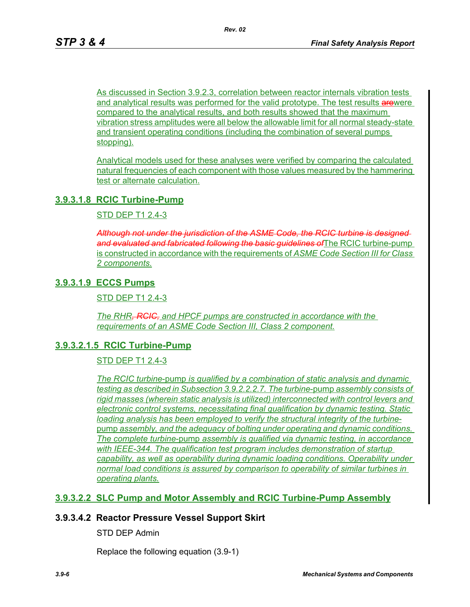As discussed in Section 3.9.2.3, correlation between reactor internals vibration tests and analytical results was performed for the valid prototype. The test results arewere compared to the analytical results, and both results showed that the maximum vibration stress amplitudes were all below the allowable limit for all normal steady-state and transient operating conditions (including the combination of several pumps stopping).

Analytical models used for these analyses were verified by comparing the calculated natural frequencies of each component with those values measured by the hammering test or alternate calculation.

### **3.9.3.1.8 RCIC Turbine-Pump**

STD DEP T1 2.4-3

*Although not under the jurisdiction of the ASME Code, the RCIC turbine is designed and evaluated and fabricated following the basic guidelines of*The RCIC turbine-pump is constructed in accordance with the requirements of *ASME Code Section III for Class 2 components.*

# **3.9.3.1.9 ECCS Pumps**

STD DEP T1 2.4-3

*The RHR, RCIC, and HPCF pumps are constructed in accordance with the requirements of an ASME Code Section III, Class 2 component.*

### **3.9.3.2.1.5 RCIC Turbine-Pump**

STD DEP T1 2.4-3

*The RCIC turbine*-pump *is qualified by a combination of static analysis and dynamic testing as described in Subsection 3.9.2.2.2.7. The turbine*-pump *assembly consists of rigid masses (wherein static analysis is utilized) interconnected with control levers and electronic control systems, necessitating final qualification by dynamic testing. Static loading analysis has been employed to verify the structural integrity of the turbine*pump *assembly, and the adequacy of bolting under operating and dynamic conditions. The complete turbine*-pump *assembly is qualified via dynamic testing, in accordance with IEEE-344. The qualification test program includes demonstration of startup capability, as well as operability during dynamic loading conditions. Operability under normal load conditions is assured by comparison to operability of similar turbines in operating plants.*

### **3.9.3.2.2 SLC Pump and Motor Assembly and RCIC Turbine-Pump Assembly**

### **3.9.3.4.2 Reactor Pressure Vessel Support Skirt**

STD DEP Admin

Replace the following equation (3.9-1)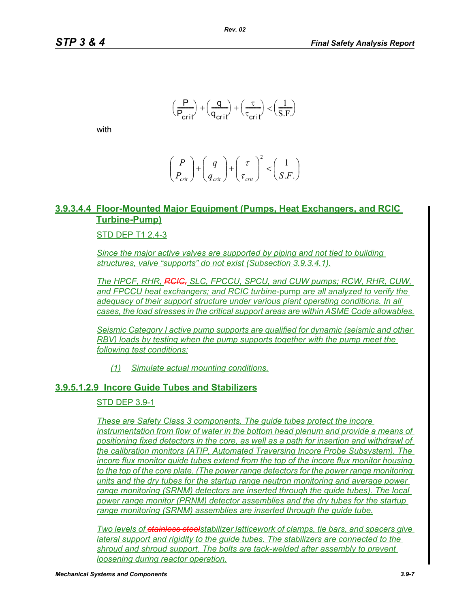$$
\left(\frac{\mathsf{P}}{\mathsf{P}_{\text{crit}}} \right) + \left(\frac{\mathsf{q}}{\mathsf{q}_{\text{crit}}} \right) + \left(\frac{\tau}{\tau_{\text{crit}}} \right) < \left(\frac{1}{\mathrm{S.F}} \right)
$$

with

$$
\left(\frac{P}{P_{\text{crit}}}\right) + \left(\frac{q}{q_{\text{crit}}}\right) + \left(\frac{\tau}{\tau_{\text{crit}}}\right)^2 < \left(\frac{1}{S.F.}\right)
$$

# **3.9.3.4.4 Floor-Mounted Major Equipment (Pumps, Heat Exchangers, and RCIC Turbine-Pump)**

#### STD DEP T1 2.4-3

*Since the major active valves are supported by piping and not tied to building structures, valve "supports" do not exist (Subsection 3.9.3.4.1).*

*The HPCF, RHR, RCIC, SLC, FPCCU, SPCU, and CUW pumps; RCW, RHR, CUW, and FPCCU heat exchangers; and RCIC turbine*-pump *are all analyzed to verify the adequacy of their support structure under various plant operating conditions. In all cases, the load stresses in the critical support areas are within ASME Code allowables.*

*Seismic Category I active pump supports are qualified for dynamic (seismic and other RBV) loads by testing when the pump supports together with the pump meet the following test conditions:*

*(1) Simulate actual mounting conditions.*

#### **3.9.5.1.2.9 Incore Guide Tubes and Stabilizers**

#### STD DEP 3.9-1

*These are Safety Class 3 components. The guide tubes protect the incore instrumentation from flow of water in the bottom head plenum and provide a means of positioning fixed detectors in the core, as well as a path for insertion and withdrawl of the calibration monitors (ATIP, Automated Traversing Incore Probe Subsystem). The incore flux monitor guide tubes extend from the top of the incore flux monitor housing to the top of the core plate. (The power range detectors for the power range monitoring units and the dry tubes for the startup range neutron monitoring and average power range monitoring (SRNM) detectors are inserted through the guide tubes). The local power range monitor (PRNM) detector assemblies and the dry tubes for the startup range monitoring (SRNM) assemblies are inserted through the guide tube.*

*Two levels of stainless steelstabilizer latticework of clamps, tie bars, and spacers give lateral support and rigidity to the guide tubes. The stabilizers are connected to the shroud and shroud support. The bolts are tack-welded after assembly to prevent loosening during reactor operation.*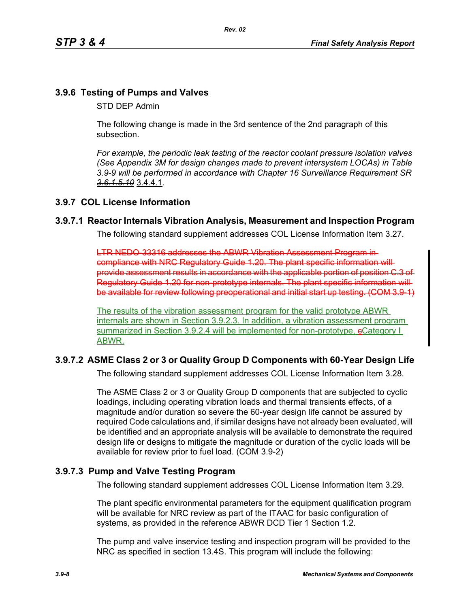### **3.9.6 Testing of Pumps and Valves**

STD DEP Admin

The following change is made in the 3rd sentence of the 2nd paragraph of this subsection.

*For example, the periodic leak testing of the reactor coolant pressure isolation valves (See Appendix 3M for design changes made to prevent intersystem LOCAs) in Table 3.9-9 will be performed in accordance with Chapter 16 Surveillance Requirement SR 3.6.1.5.10* 3.4.4.1*.*

### **3.9.7 COL License Information**

### **3.9.7.1 Reactor Internals Vibration Analysis, Measurement and Inspection Program**

The following standard supplement addresses COL License Information Item 3.27.

LTR NEDO-33316 addresses the ABWR Vibration Assessment Program in compliance with NRC Regulatory Guide 1.20. The plant specific information will provide assessment results in accordance with the applicable portion of position C.3 of Regulatory Guide 1.20 for non-prototype internals. The plant specific information will be available for review following preoperational and initial start up testing. (COM 3.9-1)

The results of the vibration assessment program for the valid prototype ABWR internals are shown in Section 3.9.2.3. In addition, a vibration assessment program summarized in Section 3.9.2.4 will be implemented for non-prototype, eCategory I ABWR.

# **3.9.7.2 ASME Class 2 or 3 or Quality Group D Components with 60-Year Design Life**

The following standard supplement addresses COL License Information Item 3.28.

The ASME Class 2 or 3 or Quality Group D components that are subjected to cyclic loadings, including operating vibration loads and thermal transients effects, of a magnitude and/or duration so severe the 60-year design life cannot be assured by required Code calculations and, if similar designs have not already been evaluated, will be identified and an appropriate analysis will be available to demonstrate the required design life or designs to mitigate the magnitude or duration of the cyclic loads will be available for review prior to fuel load. (COM 3.9-2)

# **3.9.7.3 Pump and Valve Testing Program**

The following standard supplement addresses COL License Information Item 3.29.

The plant specific environmental parameters for the equipment qualification program will be available for NRC review as part of the ITAAC for basic configuration of systems, as provided in the reference ABWR DCD Tier 1 Section 1.2.

The pump and valve inservice testing and inspection program will be provided to the NRC as specified in section 13.4S. This program will include the following: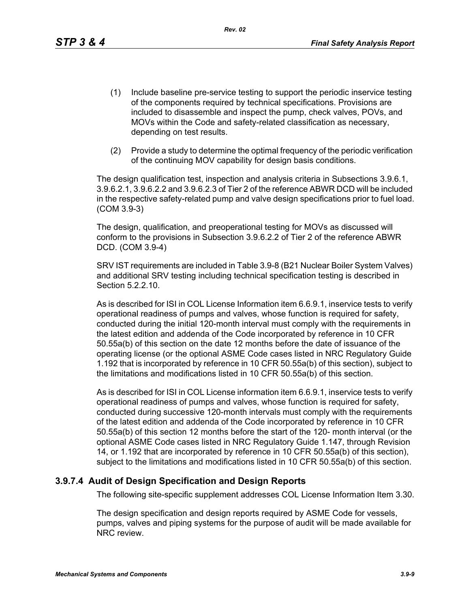*Rev. 02*

- (1) Include baseline pre-service testing to support the periodic inservice testing of the components required by technical specifications. Provisions are included to disassemble and inspect the pump, check valves, POVs, and MOVs within the Code and safety-related classification as necessary, depending on test results.
- (2) Provide a study to determine the optimal frequency of the periodic verification of the continuing MOV capability for design basis conditions.

The design qualification test, inspection and analysis criteria in Subsections 3.9.6.1, 3.9.6.2.1, 3.9.6.2.2 and 3.9.6.2.3 of Tier 2 of the reference ABWR DCD will be included in the respective safety-related pump and valve design specifications prior to fuel load. (COM 3.9-3)

The design, qualification, and preoperational testing for MOVs as discussed will conform to the provisions in Subsection 3.9.6.2.2 of Tier 2 of the reference ABWR DCD. (COM 3.9-4)

SRV IST requirements are included in Table 3.9-8 (B21 Nuclear Boiler System Valves) and additional SRV testing including technical specification testing is described in Section 5.2.2.10.

As is described for ISI in COL License Information item 6.6.9.1, inservice tests to verify operational readiness of pumps and valves, whose function is required for safety, conducted during the initial 120-month interval must comply with the requirements in the latest edition and addenda of the Code incorporated by reference in 10 CFR 50.55a(b) of this section on the date 12 months before the date of issuance of the operating license (or the optional ASME Code cases listed in NRC Regulatory Guide 1.192 that is incorporated by reference in 10 CFR 50.55a(b) of this section), subject to the limitations and modifications listed in 10 CFR 50.55a(b) of this section.

As is described for ISI in COL License information item 6.6.9.1, inservice tests to verify operational readiness of pumps and valves, whose function is required for safety, conducted during successive 120-month intervals must comply with the requirements of the latest edition and addenda of the Code incorporated by reference in 10 CFR 50.55a(b) of this section 12 months before the start of the 120- month interval (or the optional ASME Code cases listed in NRC Regulatory Guide 1.147, through Revision 14, or 1.192 that are incorporated by reference in 10 CFR 50.55a(b) of this section), subject to the limitations and modifications listed in 10 CFR 50.55a(b) of this section.

### **3.9.7.4 Audit of Design Specification and Design Reports**

The following site-specific supplement addresses COL License Information Item 3.30.

The design specification and design reports required by ASME Code for vessels, pumps, valves and piping systems for the purpose of audit will be made available for NRC review.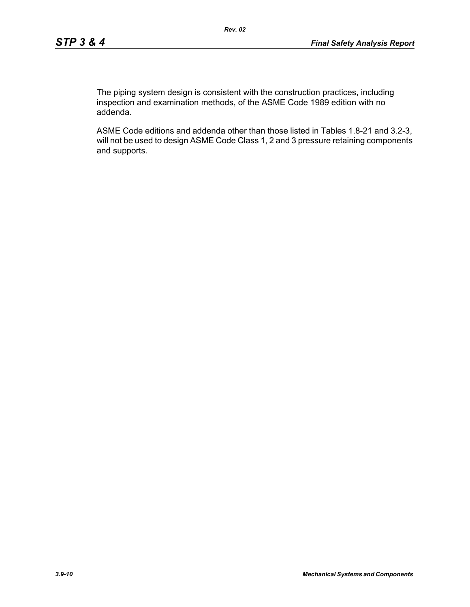The piping system design is consistent with the construction practices, including inspection and examination methods, of the ASME Code 1989 edition with no addenda.

ASME Code editions and addenda other than those listed in Tables 1.8-21 and 3.2-3, will not be used to design ASME Code Class 1, 2 and 3 pressure retaining components and supports.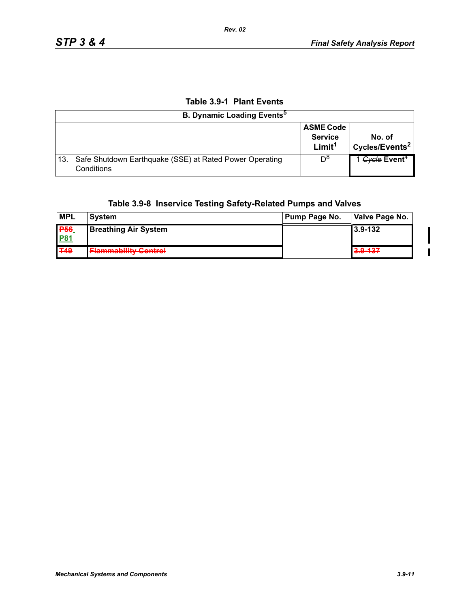# **Table 3.9-1 Plant Events**

|     | <b>B. Dynamic Loading Events</b> <sup>5</sup>                         |                                                          |                                      |
|-----|-----------------------------------------------------------------------|----------------------------------------------------------|--------------------------------------|
|     |                                                                       | <b>ASME Code</b><br><b>Service</b><br>Limit <sup>1</sup> | No. of<br>Cycles/Events <sup>2</sup> |
| 13. | Safe Shutdown Earthquake (SSE) at Rated Power Operating<br>Conditions | D <sub>o</sub>                                           | 1 Gycle Event <sup>4</sup>           |

# **Table 3.9-8 Inservice Testing Safety-Related Pumps and Valves**

| <b>MPL</b>            | <b>System</b>                                          | Pump Page No. | Valve Page No. |
|-----------------------|--------------------------------------------------------|---------------|----------------|
| <b>P</b> <sub>6</sub> | <b>Breathing Air System</b>                            |               | 3.9-132        |
| <b>P81</b>            |                                                        |               |                |
| <b>T49</b>            | Elammability Control<br><del>, ammapmity control</del> |               | 3.9-137        |

 $\mathbf I$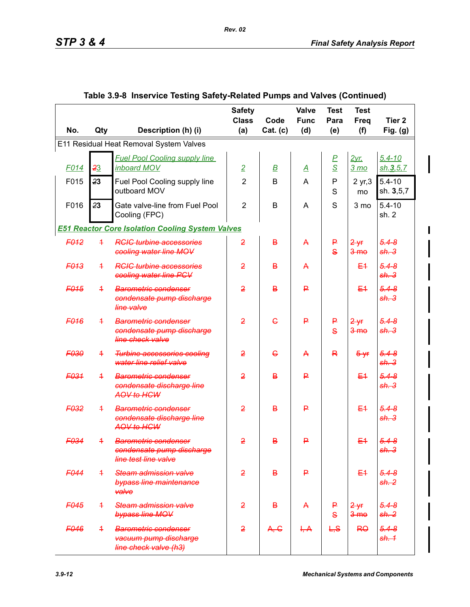I

|                  |                |                                                                                  | <b>Safety</b><br><b>Class</b> | Code           | Valve<br><b>Func</b>    | <b>Test</b><br>Para | <b>Test</b><br><b>Freq</b>  | Tier 2                        |
|------------------|----------------|----------------------------------------------------------------------------------|-------------------------------|----------------|-------------------------|---------------------|-----------------------------|-------------------------------|
| No.              | Qty            | Description (h) (i)                                                              | (a)                           | Cat. (c)       | (d)                     | (e)                 | (f)                         | Fig. $(g)$                    |
|                  |                | E11 Residual Heat Removal System Valves                                          |                               |                |                         |                     |                             |                               |
|                  |                | <b>Fuel Pool Cooling supply line</b>                                             |                               |                |                         | <u>P</u>            | <u>2yr.</u>                 | $5.4 - 10$                    |
| F <sub>014</sub> | 23             | inboard MOV                                                                      | $\overline{2}$                | $\overline{B}$ | $\overline{\mathsf{A}}$ | $\overline{S}$      | 3 <sub>mo</sub>             | sh.3, 5, 7                    |
| F015             | 23             | Fuel Pool Cooling supply line<br>outboard MOV                                    | $\overline{2}$                | B              | A                       | P<br>S              | 2 yr, 3<br>mo               | $5.4 - 10$<br>sh. 3,5,7       |
| F016             | 23             | Gate valve-line from Fuel Pool<br>Cooling (FPC)                                  | $\overline{2}$                | B              | Α                       | S                   | 3 mo                        | $5.4 - 10$<br>sh.2            |
|                  |                | <b>E51 Reactor Core Isolation Cooling System Valves</b>                          |                               |                |                         |                     |                             |                               |
| <b>F012</b>      | $\overline{1}$ | <b>RCIC turbine accessories</b><br>cooling water line MOV                        | $\overline{2}$                | в              | A                       | ₽<br>$\mathbf{s}$   | $2 +$<br>$3 - m$ $\theta$   | $5.4 - 8$<br>sh.3             |
| F <sub>013</sub> | $\overline{+}$ | <b>RGIG turbine accessories</b><br>cooling water line PCV                        | $\overline{2}$                | B              | A                       |                     | E <sub>1</sub>              | $5.4 - 8$<br>sh.3             |
| <b>F015</b>      | $\ddagger$     | Barometric condenser<br>condensate pump discharge<br>line valve                  | $\overline{2}$                | B              | ₽                       |                     | E <sub>4</sub>              | $5.4 - 8$<br>sh.3             |
| F <sub>016</sub> | $\overline{+}$ | <b>Barometric condenser</b><br>condensate pump discharge<br>line check valve     | $\overline{2}$                | $\epsilon$     | ₽                       | ₽<br>$\mathbf{s}$   | $2 + F$<br>$3 - m$ $\theta$ | $5.4 - 8$<br>sh.3             |
| F030             | $\ddagger$     | <b>Turbine accessories cooling</b><br>water line relief valve                    | $\overline{2}$                | $\epsilon$     | A                       | R                   | $5 - yf$                    | $5.4 - 8$<br>sh.3             |
| F031             | $\overline{+}$ | <b>Barometric condenser</b><br>condensate discharge line<br>AOV to HCW           | $\overline{2}$                | $\overline{B}$ | P                       |                     | E <sub>1</sub>              | $5.4 - 8$<br>sh.3             |
| <b>F032</b>      | $\ddagger$     | <b>Barometric condenser</b><br>condensate discharge line<br>AOV to HCW           | $\overline{2}$                | B              | ₽                       |                     | E <sub>1</sub>              | $5.4 - 8$<br>sh.3             |
| F034             | 4              | <b>Barometric condenser</b><br>condensate pump discharge<br>line test line valve | $\overline{2}$                | B              | ₽                       |                     | $E+$                        | $5.4 - 8$<br><del>sh. 3</del> |
| <b>F044</b>      | $\overline{+}$ | Steam admission valve<br>bypass line maintenance<br>valve                        | $\overline{2}$                | B              | P                       |                     | E <sub>4</sub>              | $5.4 - 8$<br><del>sh. 2</del> |
| F045             | $\overline{+}$ | Steam admission valve<br>bypass line MOV                                         | $\overline{2}$                | B              | A                       | ₽<br>$\mathbf{s}$   | $2 + F$<br>$3 \text{me}$    | $5.4 - 8$<br>sh. 2            |
| <b>F046</b>      | $\ddagger$     | <b>Barometric condenser</b><br>vacuum pump discharge<br>line check valve (h3)    | $\overline{2}$                | A, G           | H, A                    | L, S                | R <sub>0</sub>              | $5.4 - 8$<br>sh.4             |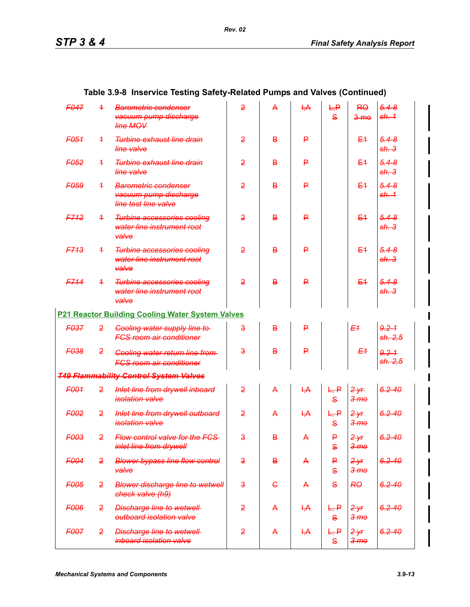| <b>F047</b>      | $\overline{\mathbf{1}}$ | <b>Barometric condenser</b><br>vacuum pump discharge<br>line MOV             | $\overline{2}$          | A              | $+A$ | $H + P$<br>$\mathbf{s}$ | R <sub>0</sub><br>$3 - m$ $\theta$ | $5.4 - 8$<br>sh.4     |
|------------------|-------------------------|------------------------------------------------------------------------------|-------------------------|----------------|------|-------------------------|------------------------------------|-----------------------|
| F054             | $\overline{+}$          | <b>Turbine exhaust line drain</b><br>line valve                              | $\overline{2}$          | B              | ₽    |                         | $E+$                               | $5.4 - 8$<br>sh.3     |
| <b>F052</b>      | $\overline{+}$          | <b>Turbine exhaust line drain</b><br>line valve                              | $\overline{2}$          | B              | ₽    |                         | $E+$                               | $5.4 - 8$<br>sh.3     |
| <b>F059</b>      | $\overline{\mathbf{f}}$ | <b>Barometric condenser</b><br>vacuum pump discharge<br>line test line valve | $\overline{2}$          | B              | ₽    |                         | $E+$                               | $5.4 - 8$<br>sh.4     |
| <b>F712</b>      | $\overline{+}$          | <b>Turbine accessories cooling</b><br>water line instrument root<br>valve    | $\overline{2}$          | $\overline{B}$ | ₽    |                         | $E+$                               | $5.4 - 8$<br>sh.3     |
| <b>F713</b>      | $\overline{+}$          | <b>Turbine accessories cooling</b><br>water line instrument root<br>valve    | $\overline{2}$          | B              | ₽    |                         | $E+$                               | $5.4 - 8$<br>sh.3     |
| F714             | 4                       | <b>Turbine accessories cooling</b><br>water line instrument root<br>valve    | $\overline{2}$          | $\overline{B}$ | P    |                         | E4                                 | $5.4 - 8$<br>sh.3     |
|                  |                         | P21 Reactor Building Cooling Water System Valves                             |                         |                |      |                         |                                    |                       |
| F037             | $\overline{2}$          | <b>Cooling water supply line to-</b><br><b>FCS room air conditioner</b>      | $\overline{\mathbf{3}}$ | $\overline{B}$ | ₽    |                         | E <sub>1</sub>                     | $9.2 - 1$<br>sh. 2, 5 |
| <b>F038</b>      | $\overline{2}$          | Cooling water return line from<br><b>FCS room air conditioner</b>            | $\overline{3}$          | $\overline{B}$ | P    |                         | E <sub>1</sub>                     | $9.2 - 1$<br>sh. 2,5  |
|                  |                         | <b>T49 Flammability Control System Valves</b>                                |                         |                |      |                         |                                    |                       |
| F001             | $\overline{2}$          | Inlet line from drywell inboard<br>isolation valve                           | $\overline{2}$          | A              | H, A | L, P<br>$\mathbf{s}$    | 2yr<br>3 <sub>mo</sub>             | $6.2 - 40$            |
| F002             | $\overline{2}$          | Inlet line from drywell outboard<br>isolation valve                          | $\overline{2}$          | A              | H, A | L, P<br>$\mathbf{s}$    | 2yr<br>$3 - m$ $\theta$            | $6.2 - 40$            |
| F003             |                         | 2 Flow control valve for the FCS-<br>inlet line from drywell                 | $\overline{\mathbf{3}}$ | $\overline{B}$ | A    | ₽<br>$\mathbf{s}$       | $2 + r$<br>$3 - m$ $\theta$        | $6.2 - 40$            |
| F <sub>004</sub> | 2                       | <b>Blower bypass line flow control</b><br><b>valve</b>                       | $\overline{\mathbf{3}}$ | В              | A    | ₽<br>$\mathbf{s}$       | $2$ yr<br>$3 - m$ $\theta$         | $6.2 - 40$            |
| <b>F005</b>      | $\overline{2}$          | <b>Blower discharge line to wetwell</b><br>check valve (h9)                  | $\overline{\mathbf{3}}$ | $\epsilon$     | A    | $\mathbf{s}$            | R <sub>0</sub>                     | $6.2 - 40$            |
| <b>F006</b>      | 2                       | <b>Discharge line to wetwell</b><br>eutboard isolation valve                 | $\overline{2}$          | A              | H, A | L, P<br>$\mathbf{s}$    | $2 + r$<br>$3 - m$ $\theta$        | $6.2 - 40$            |
| <b>F007</b>      | $\overline{2}$          | <b>Discharge line to wetwell</b><br>inboard isolation valve                  | $\overline{2}$          | A              | H, A | L, P<br>$\mathbf{s}$    | $2 + r$<br>$3 - m$ $\theta$        | $6.2 - 40$            |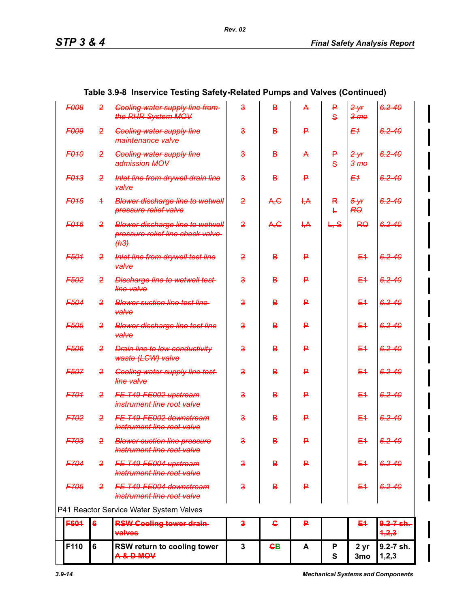| F110        | 6              | RSW return to cooling tower<br><b>A&amp;DMOV</b>                                     | $\mathbf 3$             | <u>GB</u>      | A            | P<br>$\mathbf{s}$ | 2 yr<br>3 <sub>mo</sub>      | 9.2-7 sh.<br>1, 2, 3     |
|-------------|----------------|--------------------------------------------------------------------------------------|-------------------------|----------------|--------------|-------------------|------------------------------|--------------------------|
| <b>F604</b> | 6              | <b>RSW Cooling tower drain-</b><br>valves                                            | $\bf{3}$                | ႕              | ₽            |                   | E4                           | $9.2 - 7 - 6h.$<br>4,2,3 |
|             |                | P41 Reactor Service Water System Valves                                              |                         |                |              |                   |                              |                          |
| F705        | $\mathbf{2}$   | FE T49 FE004 downstream<br>instrument line root valve                                | $\overline{\mathbf{3}}$ | B              | ₽            |                   | E <sub>4</sub>               | $6.2 - 40$               |
| F704        | $\mathbf{2}$   | FE T49-FE004 upstream<br>instrument line root valve                                  | $\overline{\mathbf{a}}$ | В              | ₽            |                   | E <sub>1</sub>               | $6.2 - 40$               |
| F703        | $\overline{2}$ | <b>Blower suction line pressure</b><br>instrument line root valve                    | $\overline{\mathbf{3}}$ | в              | ₽            |                   | $E+$                         | $6.2 - 40$               |
| F702        | $\overline{2}$ | FE T49 FE002 downstream<br>instrument line root valve                                | $\overline{\mathbf{3}}$ | B              | ₽            |                   | E <sub>4</sub>               | $6.2 - 40$               |
| F701        | 2              | FE T49-FE002 upstream<br>instrument line root valve                                  | $\overline{\mathbf{3}}$ | B              | ₽            |                   | $E+$                         | $6.2 - 40$               |
| <b>F507</b> | 2              | <b>Cooling water supply line test-</b><br>line valve                                 | $\overline{\mathbf{3}}$ | B              | ₽            |                   | $E+$                         | $6.2 - 40$               |
| F506        | 2              | <b>Drain line to low conductivity</b><br>waste (LCW) valve                           | $\overline{\mathbf{3}}$ | B              | ₽            |                   | $E+$                         | $6.2 - 40$               |
| <b>F505</b> | 2              | <b>Blower discharge line test line</b><br>valve                                      | $\overline{\mathbf{3}}$ | B              | ₽            |                   | $E+$                         | $6.2 - 40$               |
| F504        | $\overline{2}$ | <b>Blower suction line test line</b><br>valve                                        | $\overline{\mathbf{3}}$ | B              | ₽            |                   | $E+$                         | $6.2 - 40$               |
| F502        | 2              | <b>Discharge line to wetwell test-</b><br>line valve                                 | $\overline{\mathbf{3}}$ | B              | ₽            |                   | $E+$                         | $6.2 - 40$               |
| F501        | 2              | Inlet line from drywell test line<br>valve                                           | $\overline{2}$          | B              | ₽            |                   | $E+$                         | $6.2 - 40$               |
| F016        | 2              | <b>Blower discharge line to wetwell</b><br>pressure relief line check valve-<br>(H3) | $\overline{2}$          | A, G           | H, A         | L, S              | R <sub>0</sub>               | $6.2 - 40$               |
| <b>F015</b> | 4.             | <b>Blower discharge line to wetwell</b><br>pressure relief valve                     | $\overline{2}$          | A, C           | H, A         | R<br>F            | $5 - yr$<br><b>RO</b>        | $6.2 - 40$               |
| <b>F013</b> | 2              | Inlet line from drywell drain line<br>valve                                          | $\overline{\mathbf{3}}$ | $\overline{B}$ | ₽            |                   | E <sub>1</sub>               | $6.2 - 40$               |
| <b>F010</b> | 2              | <b>Cooling water supply line</b><br>admission MOV                                    | $\overline{\mathbf{3}}$ | $\overline{B}$ | $\mathsf{A}$ | ₽<br>$\mathbf{s}$ | $2$ yr<br>3 <sub>me</sub>    | $6.2 - 40$               |
| <b>F009</b> | 2              | <b>Cooling water supply line</b><br>maintenance valve                                | $\overline{\mathbf{3}}$ | $\overline{B}$ | P            |                   | E <sub>1</sub>               | $6.2 - 40$               |
| <b>F008</b> | 2              | <b>Cooling water supply line from-</b><br>the RHR System MOV                         | $\overline{\mathbf{3}}$ | $\overline{B}$ | $\mathsf{A}$ | ₽<br>$\mathbf{s}$ | $2 - yr$<br>$3 - m$ $\theta$ | $6.2 - 40$               |